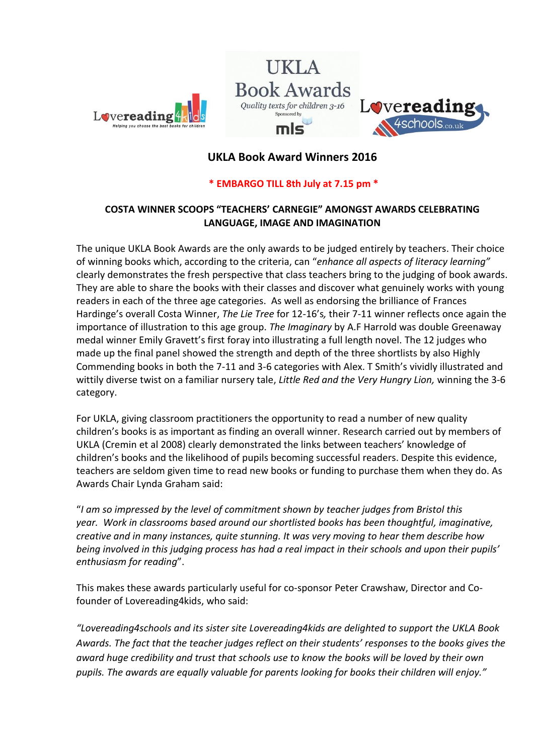





# **UKLA Book Award Winners 2016**

### **\* EMBARGO TILL 8th July at 7.15 pm \***

### **COSTA WINNER SCOOPS "TEACHERS' CARNEGIE" AMONGST AWARDS CELEBRATING LANGUAGE, IMAGE AND IMAGINATION**

The unique UKLA Book Awards are the only awards to be judged entirely by teachers. Their choice of winning books which, according to the criteria, can "*enhance all aspects of literacy learning"* clearly demonstrates the fresh perspective that class teachers bring to the judging of book awards. They are able to share the books with their classes and discover what genuinely works with young readers in each of the three age categories. As well as endorsing the brilliance of Frances Hardinge's overall Costa Winner, *The Lie Tree* for 12-16's*,* their 7-11 winner reflects once again the importance of illustration to this age group. *The Imaginary* by A.F Harrold was double Greenaway medal winner Emily Gravett's first foray into illustrating a full length novel. The 12 judges who made up the final panel showed the strength and depth of the three shortlists by also Highly Commending books in both the 7-11 and 3-6 categories with Alex. T Smith's vividly illustrated and wittily diverse twist on a familiar nursery tale, *Little Red and the Very Hungry Lion,* winning the 3-6 category.

For UKLA, giving classroom practitioners the opportunity to read a number of new quality children's books is as important as finding an overall winner. Research carried out by members of UKLA (Cremin et al 2008) clearly demonstrated the links between teachers' knowledge of children's books and the likelihood of pupils becoming successful readers. Despite this evidence, teachers are seldom given time to read new books or funding to purchase them when they do. As Awards Chair Lynda Graham said:

"*I am so impressed by the level of commitment shown by teacher judges from Bristol this year. Work in classrooms based around our shortlisted books has been thoughtful, imaginative, creative and in many instances, quite stunning. It was very moving to hear them describe how being involved in this judging process has had a real impact in their schools and upon their pupils' enthusiasm for reading*".

This makes these awards particularly useful for co-sponsor Peter Crawshaw, Director and Cofounder of Lovereading4kids, who said:

*"Lovereading4schools and its sister site Lovereading4kids are delighted to support the UKLA Book Awards. The fact that the teacher judges reflect on their students' responses to the books gives the award huge credibility and trust that schools use to know the books will be loved by their own pupils. The awards are equally valuable for parents looking for books their children will enjoy."*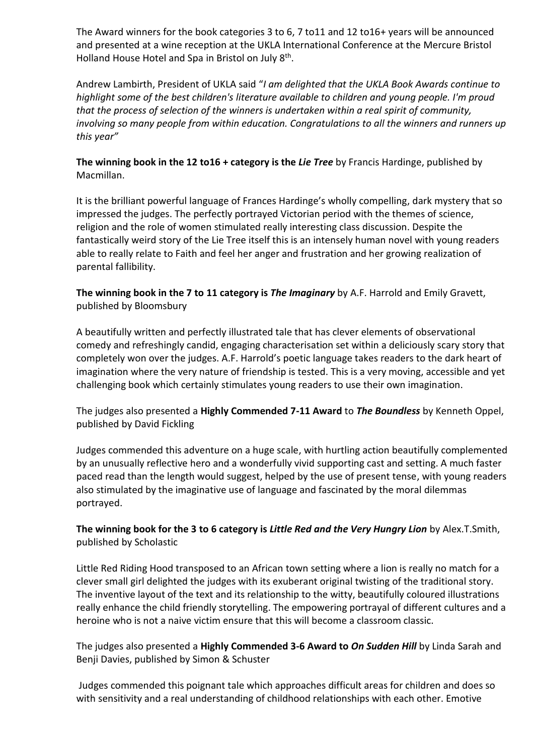The Award winners for the book categories 3 to 6, 7 to11 and 12 to16+ years will be announced and presented at a wine reception at the UKLA International Conference at the Mercure Bristol Holland House Hotel and Spa in Bristol on July 8<sup>th</sup>.

Andrew Lambirth, President of UKLA said "*I am delighted that the UKLA Book Awards continue to highlight some of the best children's literature available to children and young people. I'm proud that the process of selection of the winners is undertaken within a real spirit of community, involving so many people from within education. Congratulations to all the winners and runners up this year"*

### **The winning book in the 12 to16 + category is the** *Lie Tree* by Francis Hardinge, published by Macmillan.

It is the brilliant powerful language of Frances Hardinge's wholly compelling, dark mystery that so impressed the judges. The perfectly portrayed Victorian period with the themes of science, religion and the role of women stimulated really interesting class discussion. Despite the fantastically weird story of the Lie Tree itself this is an intensely human novel with young readers able to really relate to Faith and feel her anger and frustration and her growing realization of parental fallibility.

**The winning book in the 7 to 11 category is** *The Imaginary* by A.F. Harrold and Emily Gravett, published by Bloomsbury

A beautifully written and perfectly illustrated tale that has clever elements of observational comedy and refreshingly candid, engaging characterisation set within a deliciously scary story that completely won over the judges. A.F. Harrold's poetic language takes readers to the dark heart of imagination where the very nature of friendship is tested. This is a very moving, accessible and yet challenging book which certainly stimulates young readers to use their own imagination.

The judges also presented a **Highly Commended 7-11 Award** to *The Boundless* by Kenneth Oppel, published by David Fickling

Judges commended this adventure on a huge scale, with hurtling action beautifully complemented by an unusually reflective hero and a wonderfully vivid supporting cast and setting. A much faster paced read than the length would suggest, helped by the use of present tense, with young readers also stimulated by the imaginative use of language and fascinated by the moral dilemmas portrayed.

**The winning book for the 3 to 6 category is** *Little Red and the Very Hungry Lion* by Alex.T.Smith, published by Scholastic

Little Red Riding Hood transposed to an African town setting where a lion is really no match for a clever small girl delighted the judges with its exuberant original twisting of the traditional story. The inventive layout of the text and its relationship to the witty, beautifully coloured illustrations really enhance the child friendly storytelling. The empowering portrayal of different cultures and a heroine who is not a naive victim ensure that this will become a classroom classic.

The judges also presented a **Highly Commended 3-6 Award to** *On Sudden Hill* by Linda Sarah and Benji Davies, published by Simon & Schuster

Judges commended this poignant tale which approaches difficult areas for children and does so with sensitivity and a real understanding of childhood relationships with each other. Emotive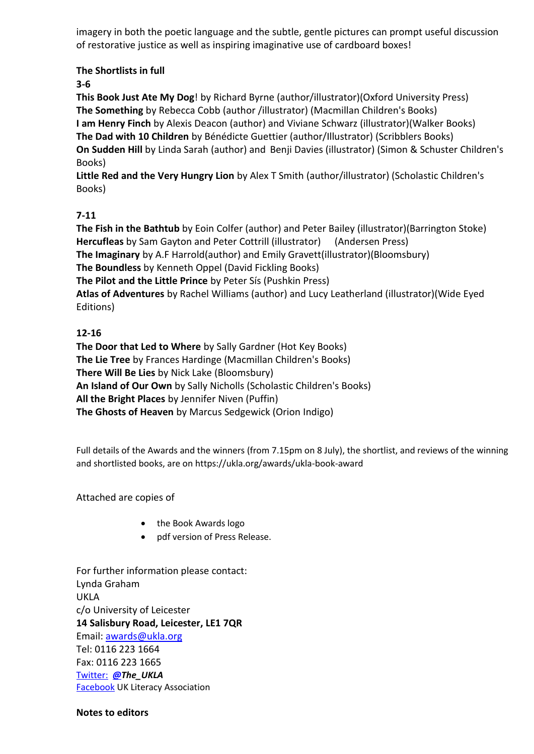imagery in both the poetic language and the subtle, gentle pictures can prompt useful discussion of restorative justice as well as inspiring imaginative use of cardboard boxes!

### **The Shortlists in full**

**3-6**

**This Book Just Ate My Dog**! by Richard Byrne (author/illustrator)(Oxford University Press) **The Something** by Rebecca Cobb (author /illustrator) (Macmillan Children's Books) **I am Henry Finch** by Alexis Deacon (author) and Viviane Schwarz (illustrator)(Walker Books) **The Dad with 10 Children** by Bénédicte Guettier (author/Illustrator) (Scribblers Books) **On Sudden Hill** by Linda Sarah (author) and Benji Davies (illustrator) (Simon & Schuster Children's Books)

**Little Red and the Very Hungry Lion** by Alex T Smith (author/illustrator) (Scholastic Children's Books)

### **7-11**

**The Fish in the Bathtub** by Eoin Colfer (author) and Peter Bailey (illustrator)(Barrington Stoke) **Hercufleas** by Sam Gayton and Peter Cottrill (illustrator) (Andersen Press) **The Imaginary** by A.F Harrold(author) and Emily Gravett(illustrator)(Bloomsbury) **The Boundless** by Kenneth Oppel (David Fickling Books) **The Pilot and the Little Prince** by Peter Sís (Pushkin Press) **Atlas of Adventures** by Rachel Williams (author) and Lucy Leatherland (illustrator)(Wide Eyed Editions)

#### **12-16**

**The Door that Led to Where** by Sally Gardner (Hot Key Books) **The Lie Tree** by Frances Hardinge (Macmillan Children's Books) **There Will Be Lies** by Nick Lake (Bloomsbury) **An Island of Our Own** by Sally Nicholls (Scholastic Children's Books) **All the Bright Places** by Jennifer Niven (Puffin) **The Ghosts of Heaven** by Marcus Sedgewick (Orion Indigo)

Full details of the Awards and the winners (from 7.15pm on 8 July), the shortlist, and reviews of the winning and shortlisted books, are on https://ukla.org/awards/ukla-book-award

Attached are copies of

- the Book Awards logo
- pdf version of Press Release.

For further information please contact: Lynda Graham UKLA c/o University of Leicester **14 Salisbury Road, Leicester, LE1 7QR** Email[: awards@ukla.org](mailto:awards@ukla.org) Tel: 0116 223 1664 Fax: 0116 223 1665 [Twitter:](https://twitter.com/The_UKLA) *[@The\\_UKLA](https://twitter.com/The_UKLA)* **[Facebook](https://www.facebook.com/UK-Literacy-Association-216463381713590?__fns&hash=Ac3XkTr5j8bvADRZ) UK Literacy Association** 

**Notes to editors**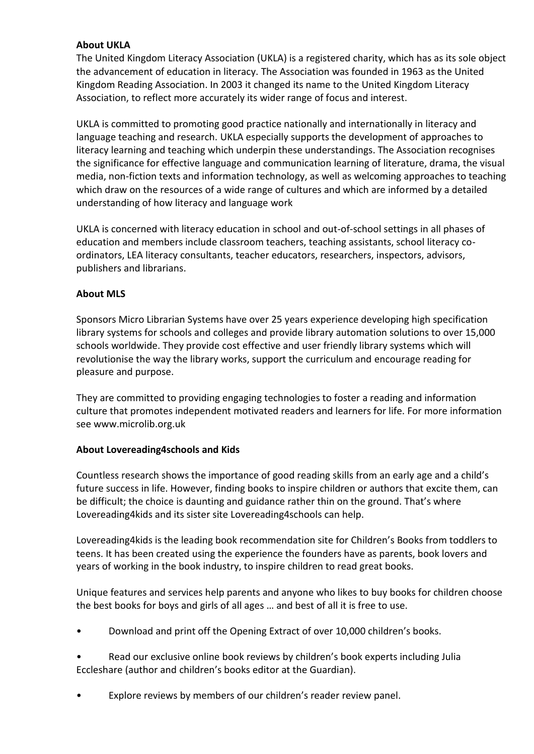#### **About UKLA**

The United Kingdom Literacy Association (UKLA) is a registered charity, which has as its sole object the advancement of education in literacy. The Association was founded in 1963 as the United Kingdom Reading Association. In 2003 it changed its name to the United Kingdom Literacy Association, to reflect more accurately its wider range of focus and interest.

UKLA is committed to promoting good practice nationally and internationally in literacy and language teaching and research. UKLA especially supports the development of approaches to literacy learning and teaching which underpin these understandings. The Association recognises the significance for effective language and communication learning of literature, drama, the visual media, non-fiction texts and information technology, as well as welcoming approaches to teaching which draw on the resources of a wide range of cultures and which are informed by a detailed understanding of how literacy and language work

UKLA is concerned with literacy education in school and out-of-school settings in all phases of education and members include classroom teachers, teaching assistants, school literacy coordinators, LEA literacy consultants, teacher educators, researchers, inspectors, advisors, publishers and librarians.

#### **About MLS**

Sponsors Micro Librarian Systems have over 25 years experience developing high specification library systems for schools and colleges and provide library automation solutions to over 15,000 schools worldwide. They provide cost effective and user friendly library systems which will revolutionise the way the library works, support the curriculum and encourage reading for pleasure and purpose.

They are committed to providing engaging technologies to foster a reading and information culture that promotes independent motivated readers and learners for life. For more information see www.microlib.org.uk

#### **About Lovereading4schools and Kids**

Countless research shows the importance of good reading skills from an early age and a child's future success in life. However, finding books to inspire children or authors that excite them, can be difficult; the choice is daunting and guidance rather thin on the ground. That's where Lovereading4kids and its sister site Lovereading4schools can help.

Lovereading4kids is the leading book recommendation site for Children's Books from toddlers to teens. It has been created using the experience the founders have as parents, book lovers and years of working in the book industry, to inspire children to read great books.

Unique features and services help parents and anyone who likes to buy books for children choose the best books for boys and girls of all ages … and best of all it is free to use.

- Download and print off the Opening Extract of over 10,000 children's books.
- Read our exclusive online book reviews by children's book experts including Julia Eccleshare (author and children's books editor at the Guardian).
- Explore reviews by members of our children's reader review panel.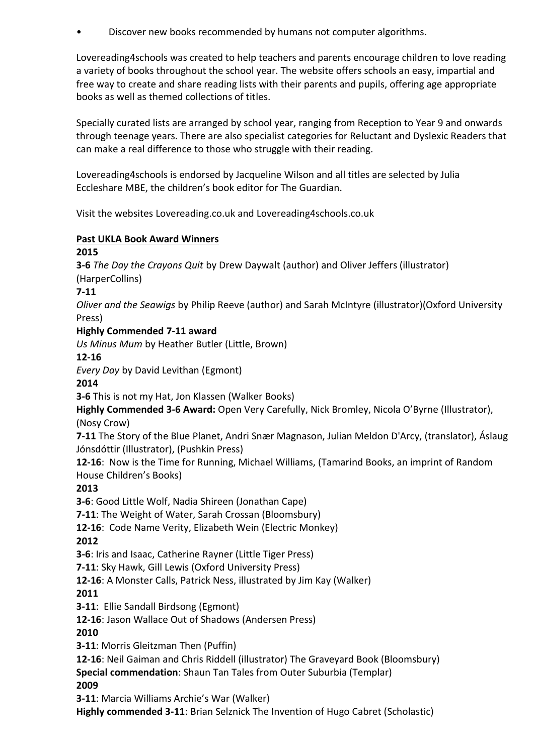• Discover new books recommended by humans not computer algorithms.

Lovereading4schools was created to help teachers and parents encourage children to love reading a variety of books throughout the school year. The website offers schools an easy, impartial and free way to create and share reading lists with their parents and pupils, offering age appropriate books as well as themed collections of titles.

Specially curated lists are arranged by school year, ranging from Reception to Year 9 and onwards through teenage years. There are also specialist categories for Reluctant and Dyslexic Readers that can make a real difference to those who struggle with their reading.

Lovereading4schools is endorsed by Jacqueline Wilson and all titles are selected by Julia Eccleshare MBE, the children's book editor for The Guardian.

Visit the websites Lovereading.co.uk and Lovereading4schools.co.uk

### **Past UKLA Book Award Winners**

### **2015**

**3-6** *The Day the Crayons Quit* by Drew Daywalt (author) and Oliver Jeffers (illustrator) (HarperCollins)

## **7-11**

*Oliver and the Seawigs* by Philip Reeve (author) and Sarah McIntyre (illustrator)(Oxford University Press)

#### **Highly Commended 7-11 award**

*Us Minus Mum* by Heather Butler (Little, Brown)

### **12-16**

*Every Day* by David Levithan (Egmont)

### **2014**

**3-6** This is not my Hat, Jon Klassen (Walker Books)

**Highly Commended 3-6 Award:** Open Very Carefully, Nick Bromley, Nicola O'Byrne (Illustrator), (Nosy Crow)

**7-11** The Story of the Blue Planet, Andri Snær Magnason, Julian Meldon D'Arcy, (translator), Áslaug Jónsdóttir (Illustrator), (Pushkin Press)

**12-16**: Now is the Time for Running, Michael Williams, (Tamarind Books, an imprint of Random House Children's Books)

## **2013**

**3-6**: Good Little Wolf, Nadia Shireen (Jonathan Cape)

**7-11**: The Weight of Water, Sarah Crossan (Bloomsbury)

**12-16**: Code Name Verity, Elizabeth Wein (Electric Monkey)

## **2012**

**3-6**: Iris and Isaac, Catherine Rayner (Little Tiger Press)

**7-11**: Sky Hawk, Gill Lewis (Oxford University Press)

**12-16**: A Monster Calls, Patrick Ness, illustrated by Jim Kay (Walker)

## **2011**

**3-11**: Ellie Sandall Birdsong (Egmont)

**12-16**: Jason Wallace Out of Shadows (Andersen Press)

## **2010**

**3-11**: Morris Gleitzman Then (Puffin)

**12-16**: Neil Gaiman and Chris Riddell (illustrator) The Graveyard Book (Bloomsbury)

**Special commendation**: Shaun Tan Tales from Outer Suburbia (Templar)

## **2009**

**3-11**: Marcia Williams Archie's War (Walker)

**Highly commended 3-11**: Brian Selznick The Invention of Hugo Cabret (Scholastic)